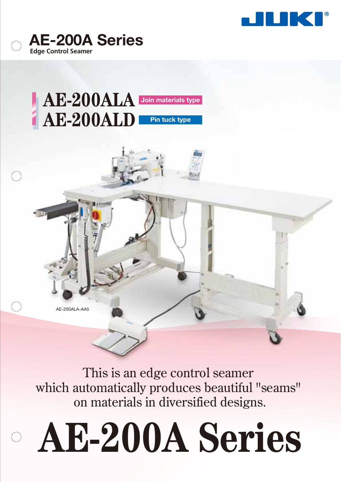



## **Join materials type Pin tuck type AE-200ALA AE-200ALD**

AE-200ALA-AA5

This is an edge control seamer which automatically produces beautiful "seams" on materials in diversified designs.

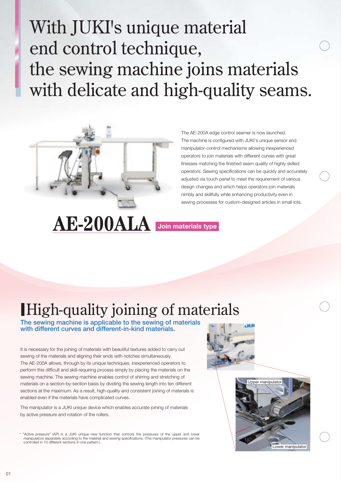# With JUKI's unique material end control technique, the sewing machine joins materials with delicate and high-quality seams.



The AE-200A edge control seamer is now launched. The machine is configured with JUKI's unique sensor and manipulator-control mechanisms allowing inexperienced operators to join materials with different curves with great finesses matching the finished seam quality of highly skilled operators. Sewing specifications can be quickly and accurately adjusted via touch panel to meet the requirement of various design changes and which helps operators join materials nimbly and skillfully while enhancing productivity even in sewing processes for custom-designed articles in small lots.

# **AE-200ALA Join materials type**

# High-quality joining of materials

**The sewing machine is applicable to the sewing of materials with different curves and different-in-kind materials.**

It is necessary for the joining of materials with beautiful textures added to carry out sewing of the materials and aligning their ends with notches simultaneously. The AE-200A allows, through by its unique techniques, inexperienced operators to perform this difficult and skill-requiring process simply by placing the materials on the sewing machine. The sewing machine enables control of shirring and stretching of materials on a section-by-section basis by dividing the sewing length into ten different sections at the maximum. As a result, high-quality and consistent joining of materials is enabled even if the materials have complicated curves.

The manipulator is a JUKI unique device which enables accurate joining of materials by active pressure and rotation of the rollers.





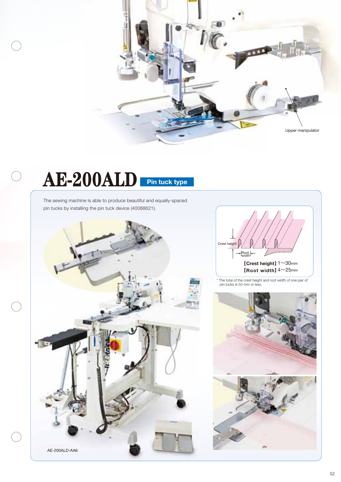

# **AE-200ALD Pin tuck type**

 $\bigcirc$ 

 $\bigcap$ 

The sewing machine is able to produce beautiful and equally-spaced pin tucks by installing the pin tuck device (40088621).





\* The total of the crest height and root width of one pair of pin tucks is 50 mm or less.

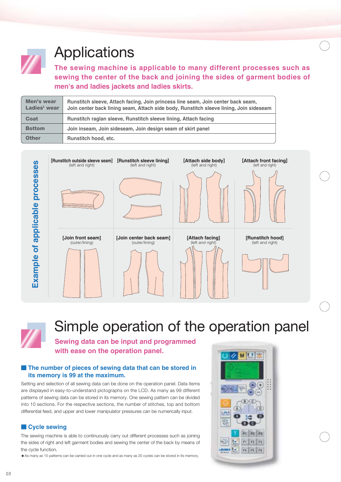

## **Applications**

**The sewing machine is applicable to many different processes such as sewing the center of the back and joining the sides of garment bodies of men's and ladies jackets and ladies skirts.**

| Men's wear<br>Ladies' wear | Runstitch sleeve, Attach facing, Join princess line seam, Join center back seam,<br>Join center back lining seam, Attach side body, Runstitch sleeve lining, Join sideseam |
|----------------------------|----------------------------------------------------------------------------------------------------------------------------------------------------------------------------|
| <b>Coat</b>                | Runstitch raglan sleeve, Runstitch sleeve lining, Attach facing                                                                                                            |
| <b>Bottom</b>              | Join inseam, Join sideseam, Join design seam of skirt panel                                                                                                                |
| <b>Other</b>               | Runstitch hood, etc.                                                                                                                                                       |



## Simple operation of the operation panel

**Sewing data can be input and programmed with ease on the operation panel.**

## **The number of pieces of sewing data that can be stored in its memory is 99 at the maximum.**

Setting and selection of all sewing data can be done on the operation panel. Data items are displayed in easy-to-understand pictographs on the LCD. As many as 99 different patterns of sewing data can be stored in its memory. One sewing pattern can be divided into 10 sections. For the respective sections, the number of stitches, top and bottom differential feed, and upper and lower manipulator pressures can be numerically input.

## **Cycle sewing**

The sewing machine is able to continuously carry out different processes such as joining the sides of right and left garment bodies and sewing the center of the back by means of the cycle function.

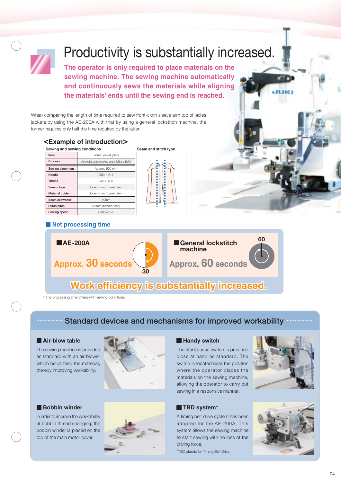

## Productivity is substantially increased.

**The operator is only required to place materials on the sewing machine. The sewing machine automatically and continuously sews the materials while aligning the materials' ends until the sewing end is reached.**

When comparing the length of time required to sew front-cloth sleeve arm top of ladies jackets by using the AE-200A with that by using a general lockstitch machine, the former requires only half the time required by the latter.

## **<Example of introduction>**

| Sewing and sewing conditions | Seam and stitch type                            |  |
|------------------------------|-------------------------------------------------|--|
| Item                         | Ladies' jacket (plain)                          |  |
| Process                      | Join outer outside sleeve seam (left and right) |  |
| Sewing dimention             | Approx. 500 mm                                  |  |
| Needle                       | DBX1 #11                                        |  |
| Thread                       | Tetron #50                                      |  |
| Sensor type                  | Upper 4mm / Lower 2mm                           |  |
| Material guide               | Upper 4mm / Lower 2mm                           |  |
| Seam allowance               | 10 <sub>mm</sub>                                |  |
| Stitch pitch                 | 2.5mm (bottom-feed)                             |  |
| Sewing speed                 | 2.800sti/min                                    |  |

## **Net processing time**



## **Work efficiency is substantially increased.**

\* The processing time differs with sewing conditions.

## **Standard devices and mechanisms for improved workability**

### **Air-blow table**

The sewing machine is provided as standard with an air blower which helps feed the material, thereby improving workability.

### **Bobbin winder**

In order to improve the workability at bobbin thread changing, the bobbin winder is placed on the top of the main motor cover.





## **Handy switch**

The start/pause switch is provided close at hand as standard. The switch is located near the position where the operator places the materials on the sewing machine, allowing the operator to carry out sewing in a responsive manner.



A timing belt drive system has been adopted for the AE-200A. This system allows the sewing machine to start sewing with no loss of the driving force.

\*TBD stands for Timing Belt Drive.





 $04$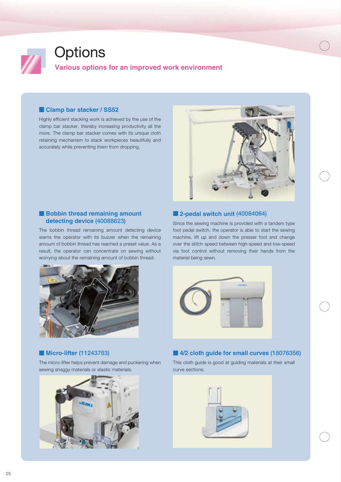

### **Clamp bar stacker / SS52**

Highly efficient stacking work is achieved by the use of the clamp bar stacker, thereby increasing productivity all the more. The clamp bar stacker comes with its unique cloth retaining mechanism to stack workpieces beautifully and accurately while preventing them from dropping.



#### **Bobbin thread remaining amount detecting device (40088623)**

The bobbin thread remaining amount detecting device warns the operator with its buzzer when the remaining amount of bobbin thread has reached a preset value. As a result, the operator can concentrate on sewing without worrying about the remaining amount of bobbin thread.



### **Micro-lifter (11243763)**

The micro-lifter helps prevent damage and puckering when sewing shaggy materials or elastic materials.



### **2-pedal switch unit (40084064)**

Since the sewing machine is provided with a tandem type foot pedal switch, the operator is able to start the sewing machine, lift up and down the presser foot and change over the stitch speed between high-speed and low-speed via foot control without removing their hands from the material being sewn.



## **4/2 cloth guide for small curves (18076356)**

This cloth guide is good at guiding materials at their small curve sections.

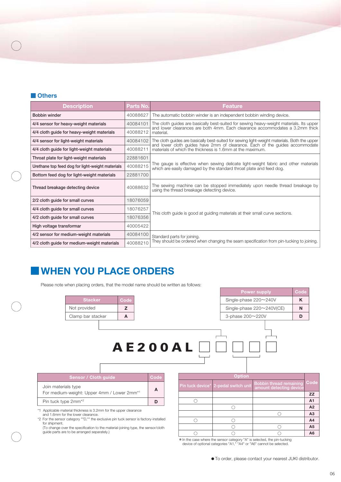#### **Others**

| <b>Description</b>                               | Parts No. | Feature                                                                                                                                                                 |  |
|--------------------------------------------------|-----------|-------------------------------------------------------------------------------------------------------------------------------------------------------------------------|--|
| Bobbin winder                                    | 40088627  | The automatic bobbin winder is an independent bobbin winding device.                                                                                                    |  |
| 4/4 sensor for heavy-weight materials            | 40084101  | The cloth guides are basically best-suited for sewing heavy-weight materials. Its upper<br>and lower clearances are both 4mm. Each clearance accommodates a 3.2mm thick |  |
| 4/4 cloth quide for heavy-weight materials       | 40088212  | material.                                                                                                                                                               |  |
| 4/4 sensor for light-weight materials            | 40084102  | The cloth guides are basically best-suited for sewing light-weight materials. Both the upper                                                                            |  |
| 4/4 cloth guide for light-weight materials       | 40088211  | and lower cloth guides have 2mm of clearance. Each of the guides accommodate<br>materials of which the thickness is 1.6mm at the maximum.                               |  |
| Throat plate for light-weight materials          | 22881601  | The gauge is effective when sewing delicate light-weight fabric and other materials<br>which are easily damaged by the standard throat plate and feed dog.              |  |
| Urethane top feed dog for light-weight materials | 40088215  |                                                                                                                                                                         |  |
| Bottom feed dog for light-weight materials       | 22881700  |                                                                                                                                                                         |  |
| Thread breakage detecting device                 | 40088632  | The sewing machine can be stopped immediately upon needle thread breakage by<br>using the thread breakage detecting device.                                             |  |
| 2/2 cloth guide for small curves                 | 18076059  | This cloth guide is good at guiding materials at their small curve sections.                                                                                            |  |
| 4/4 cloth guide for small curves                 | 18076257  |                                                                                                                                                                         |  |
| 4/2 cloth guide for small curves                 | 18076356  |                                                                                                                                                                         |  |
| High voltage transformar                         | 40005422  |                                                                                                                                                                         |  |
| 4/2 sensor for medium-weight materials           | 40084100  | Standard parts for joining.<br>They should be ordered when changing the seam specification from pin-tucking to joining.                                                 |  |
| 4/2 cloth quide for medium-weight materials      | 40088210  |                                                                                                                                                                         |  |

## **WHEN YOU PLACE ORDERS**

Please note when placing orders, that the model name should be written as follows:



\*In the case where the sensor category "A" is selected, the pin-tucking device of optional categories "A1," "A4" or "A6" cannot be selected.